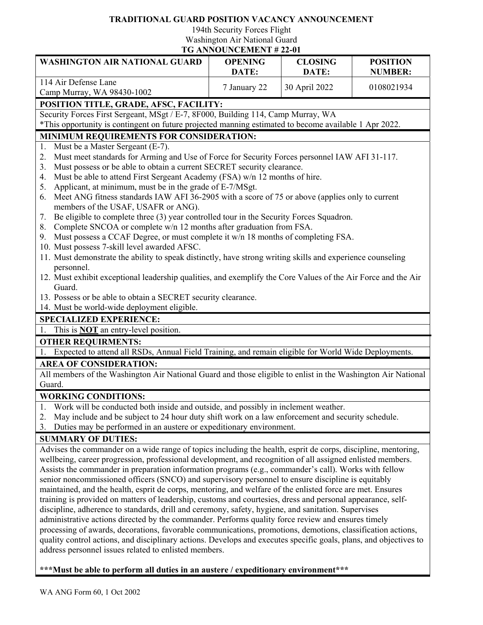## **TRADITIONAL GUARD POSITION VACANCY ANNOUNCEMENT**

194th Security Forces Flight Washington Air National Guard

**TG ANNOUNCEMENT # 22-01**

| <b>WASHINGTON AIR NATIONAL GUARD</b>                                                                                                                                                                        | <b>OPENING</b><br>DATE: | <b>CLOSING</b><br>DATE: | <b>POSITION</b><br><b>NUMBER:</b> |
|-------------------------------------------------------------------------------------------------------------------------------------------------------------------------------------------------------------|-------------------------|-------------------------|-----------------------------------|
| 114 Air Defense Lane                                                                                                                                                                                        |                         |                         |                                   |
| Camp Murray, WA 98430-1002                                                                                                                                                                                  | 7 January 22            | 30 April 2022           | 0108021934                        |
| POSITION TITLE, GRADE, AFSC, FACILITY:                                                                                                                                                                      |                         |                         |                                   |
| Security Forces First Sergeant, MSgt / E-7, 8F000, Building 114, Camp Murray, WA                                                                                                                            |                         |                         |                                   |
| *This opportunity is contingent on future projected manning estimated to become available 1 Apr 2022.                                                                                                       |                         |                         |                                   |
| MINIMUM REQUIREMENTS FOR CONSIDERATION:                                                                                                                                                                     |                         |                         |                                   |
| Must be a Master Sergeant (E-7).<br>1.                                                                                                                                                                      |                         |                         |                                   |
| Must meet standards for Arming and Use of Force for Security Forces personnel IAW AFI 31-117.<br>2.                                                                                                         |                         |                         |                                   |
| Must possess or be able to obtain a current SECRET security clearance.<br>3.                                                                                                                                |                         |                         |                                   |
| Must be able to attend First Sergeant Academy (FSA) w/n 12 months of hire.<br>4.                                                                                                                            |                         |                         |                                   |
| Applicant, at minimum, must be in the grade of E-7/MSgt.<br>5.<br>Meet ANG fitness standards IAW AFI 36-2905 with a score of 75 or above (applies only to current<br>6.                                     |                         |                         |                                   |
| members of the USAF, USAFR or ANG).                                                                                                                                                                         |                         |                         |                                   |
| Be eligible to complete three (3) year controlled tour in the Security Forces Squadron.<br>7.                                                                                                               |                         |                         |                                   |
| Complete SNCOA or complete w/n 12 months after graduation from FSA.<br>8.                                                                                                                                   |                         |                         |                                   |
| Must possess a CCAF Degree, or must complete it w/n 18 months of completing FSA.<br>9.                                                                                                                      |                         |                         |                                   |
| 10. Must possess 7-skill level awarded AFSC.                                                                                                                                                                |                         |                         |                                   |
| 11. Must demonstrate the ability to speak distinctly, have strong writing skills and experience counseling                                                                                                  |                         |                         |                                   |
| personnel.                                                                                                                                                                                                  |                         |                         |                                   |
| 12. Must exhibit exceptional leadership qualities, and exemplify the Core Values of the Air Force and the Air                                                                                               |                         |                         |                                   |
| Guard.                                                                                                                                                                                                      |                         |                         |                                   |
| 13. Possess or be able to obtain a SECRET security clearance.<br>14. Must be world-wide deployment eligible.                                                                                                |                         |                         |                                   |
| <b>SPECIALIZED EXPERIENCE:</b>                                                                                                                                                                              |                         |                         |                                   |
| This is <b>NOT</b> an entry-level position.<br>1.                                                                                                                                                           |                         |                         |                                   |
| <b>OTHER REQUIRMENTS:</b>                                                                                                                                                                                   |                         |                         |                                   |
| 1. Expected to attend all RSDs, Annual Field Training, and remain eligible for World Wide Deployments.                                                                                                      |                         |                         |                                   |
| <b>AREA OF CONSIDERATION:</b>                                                                                                                                                                               |                         |                         |                                   |
| All members of the Washington Air National Guard and those eligible to enlist in the Washington Air National                                                                                                |                         |                         |                                   |
| Guard.                                                                                                                                                                                                      |                         |                         |                                   |
| <b>WORKING CONDITIONS:</b>                                                                                                                                                                                  |                         |                         |                                   |
| Work will be conducted both inside and outside, and possibly in inclement weather.<br>1.                                                                                                                    |                         |                         |                                   |
| May include and be subject to 24 hour duty shift work on a law enforcement and security schedule.<br>2.                                                                                                     |                         |                         |                                   |
| Duties may be performed in an austere or expeditionary environment.<br>3.                                                                                                                                   |                         |                         |                                   |
| <b>SUMMARY OF DUTIES:</b>                                                                                                                                                                                   |                         |                         |                                   |
| Advises the commander on a wide range of topics including the health, esprit de corps, discipline, mentoring,                                                                                               |                         |                         |                                   |
| wellbeing, career progression, professional development, and recognition of all assigned enlisted members.                                                                                                  |                         |                         |                                   |
| Assists the commander in preparation information programs (e.g., commander's call). Works with fellow<br>senior noncommissioned officers (SNCO) and supervisory personnel to ensure discipline is equitably |                         |                         |                                   |
| maintained, and the health, esprit de corps, mentoring, and welfare of the enlisted force are met. Ensures                                                                                                  |                         |                         |                                   |
| training is provided on matters of leadership, customs and courtesies, dress and personal appearance, self-                                                                                                 |                         |                         |                                   |
| discipline, adherence to standards, drill and ceremony, safety, hygiene, and sanitation. Supervises                                                                                                         |                         |                         |                                   |
| administrative actions directed by the commander. Performs quality force review and ensures timely                                                                                                          |                         |                         |                                   |
| processing of awards, decorations, favorable communications, promotions, demotions, classification actions,                                                                                                 |                         |                         |                                   |
| quality control actions, and disciplinary actions. Develops and executes specific goals, plans, and objectives to                                                                                           |                         |                         |                                   |
| address personnel issues related to enlisted members.                                                                                                                                                       |                         |                         |                                   |

**\*\*\*Must be able to perform all duties in an austere / expeditionary environment\*\*\***